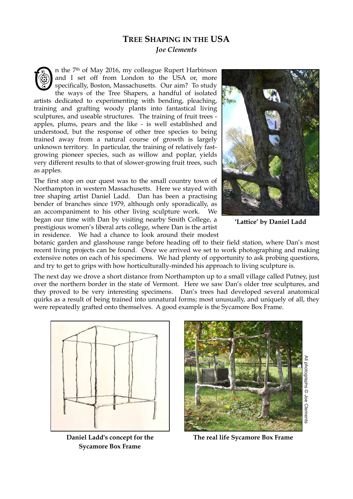## **TREE SHAPING IN THE USA**  *Joe Clements*

n the 7th of May 2016, my colleague Rupert Harbinson and I set off from London to the USA or, more specifically, Boston, Massachusetts. Our aim? To study the ways of the Tree Shapers, a handful of isolated artists dedicated to experimenting with bending, pleaching, training and grafting woody plants into fantastical living sculptures, and useable structures. The training of fruit trees apples, plums, pears and the like - is well established and understood, but the response of other tree species to being trained away from a natural course of growth is largely unknown territory. In particular, the training of relatively fastgrowing pioneer species, such as willow and poplar, yields very different results to that of slower-growing fruit trees, such as apples. O

The first stop on our quest was to the small country town of Northampton in western Massachusetts. Here we stayed with tree shaping artist Daniel Ladd. Dan has been a practising bender of branches since 1979, although only sporadically, as an accompaniment to his other living sculpture work. We began our time with Dan by visiting nearby Smith College, a prestigious women's liberal arts college, where Dan is the artist in residence. We had a chance to look around their modest



**'Lattice' by Daniel Ladd**

botanic garden and glasshouse range before heading off to their field station, where Dan's most recent living projects can be found. Once we arrived we set to work photographing and making extensive notes on each of his specimens. We had plenty of opportunity to ask probing questions, and try to get to grips with how horticulturally-minded his approach to living sculpture is.

The next day we drove a short distance from Northampton up to a small village called Putney, just over the northern border in the state of Vermont. Here we saw Dan's older tree sculptures, and they proved to be very interesting specimens. Dan's trees had developed several anatomical quirks as a result of being trained into unnatural forms; most unusually, and uniquely of all, they were repeatedly grafted onto themselves. A good example is the Sycamore Box Frame.



**Daniel Ladd's concept for the Sycamore Box Frame**



**The real life Sycamore Box Frame**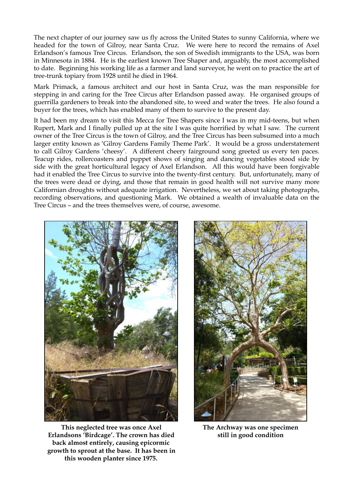The next chapter of our journey saw us fly across the United States to sunny California, where we headed for the town of Gilroy, near Santa Cruz. We were here to record the remains of Axel Erlandson's famous Tree Circus. Erlandson, the son of Swedish immigrants to the USA, was born in Minnesota in 1884. He is the earliest known Tree Shaper and, arguably, the most accomplished to date. Beginning his working life as a farmer and land surveyor, he went on to practice the art of tree-trunk topiary from 1928 until he died in 1964.

Mark Primack, a famous architect and our host in Santa Cruz, was the man responsible for stepping in and caring for the Tree Circus after Erlandson passed away. He organised groups of guerrilla gardeners to break into the abandoned site, to weed and water the trees. He also found a buyer for the trees, which has enabled many of them to survive to the present day.

It had been my dream to visit this Mecca for Tree Shapers since I was in my mid-teens, but when Rupert, Mark and I finally pulled up at the site I was quite horrified by what I saw. The current owner of the Tree Circus is the town of Gilroy, and the Tree Circus has been subsumed into a much larger entity known as 'Gilroy Gardens Family Theme Park'. It would be a gross understatement to call Gilroy Gardens 'cheesy'. A different cheery fairground song greeted us every ten paces. Teacup rides, rollercoasters and puppet shows of singing and dancing vegetables stood side by side with the great horticultural legacy of Axel Erlandson. All this would have been forgivable had it enabled the Tree Circus to survive into the twenty-first century. But, unfortunately, many of the trees were dead or dying, and those that remain in good health will not survive many more Californian droughts without adequate irrigation. Nevertheless, we set about taking photographs, recording observations, and questioning Mark. We obtained a wealth of invaluable data on the Tree Circus – and the trees themselves were, of course, awesome.



**This neglected tree was once Axel Erlandsons 'Birdcage'. The crown has died back almost entirely, causing epicormic growth to sprout at the base. It has been in this wooden planter since 1975.**



**The Archway was one specimen still in good condition**